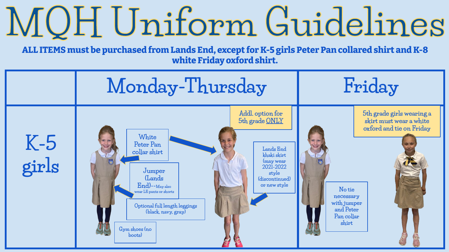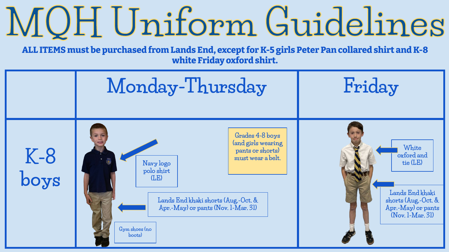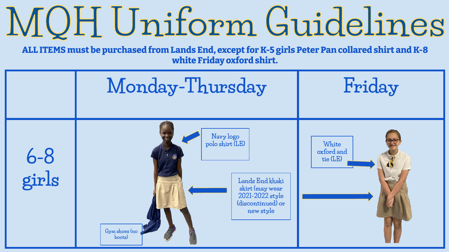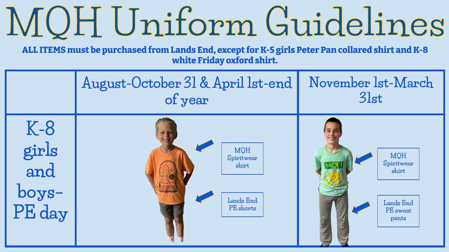